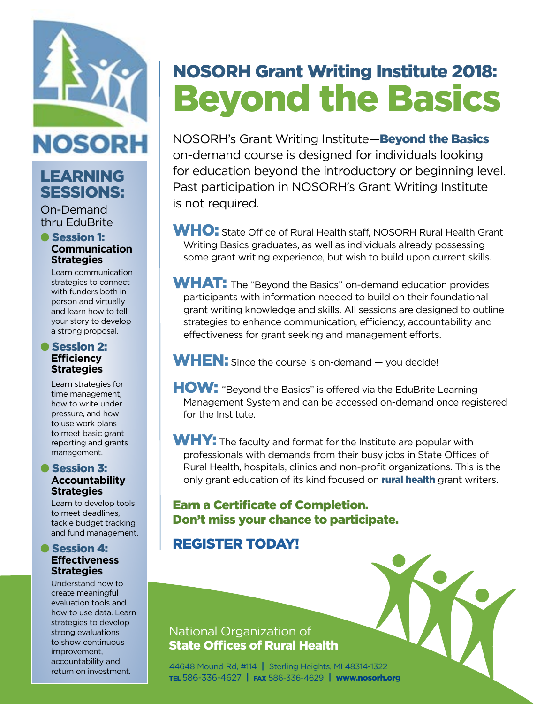

## LEARNING SESSIONS:

On-Demand thru EduBrite

#### **e** Session 1: **Communication Strategies**

Learn communication strategies to connect with funders both in person and virtually and learn how to tell your story to develop a strong proposal.

#### **Session 2: Efficiency Strategies**

Learn strategies for time management, how to write under pressure, and how to use work plans to meet basic grant reporting and grants management.

#### **C** Session 3: **Accountability Strategies**

Learn to develop tools to meet deadlines, tackle budget tracking and fund management.

#### **C** Session 4: **Effectiveness Strategies**

Understand how to create meaningful evaluation tools and how to use data. Learn strategies to develop strong evaluations to show continuous improvement, accountability and return on investment.

# NOSORH Grant Writing Institute 2018: Beyond the Basics

NOSORH's Grant Writing Institute—**Beyond the Basics** on-demand course is designed for individuals looking for education beyond the introductory or beginning level. Past participation in NOSORH's Grant Writing Institute is not required.

WHO: State Office of Rural Health staff, NOSORH Rural Health Grant Writing Basics graduates, as well as individuals already possessing some grant writing experience, but wish to build upon current skills.

WHAT: The "Beyond the Basics" on-demand education provides participants with information needed to build on their foundational grant writing knowledge and skills. All sessions are designed to outline strategies to enhance communication, efficiency, accountability and effectiveness for grant seeking and management efforts.

WHEN: Since the course is on-demand - you decide!

HOW: "Beyond the Basics" is offered via the EduBrite Learning Management System and can be accessed on-demand once registered for the Institute.

WHY: The faculty and format for the Institute are popular with professionals with demands from their busy jobs in State Offices of Rural Health, hospitals, clinics and non-profit organizations. This is the only grant education of its kind focused on **rural health** grant writers.

#### Earn a Certificate of Completion. Don't miss your chance to participate.

## [REGISTER TODAY!](https://www.regonline.com/GWI2018BTB )



#### National Organization of State Offices of Rural Health

44648 Mound Rd, #114 **|** Sterling Heights, MI 48314-1322 TEL 586-336-4627 **|** FAX 586-336-4629 **|** www.nosorh.org